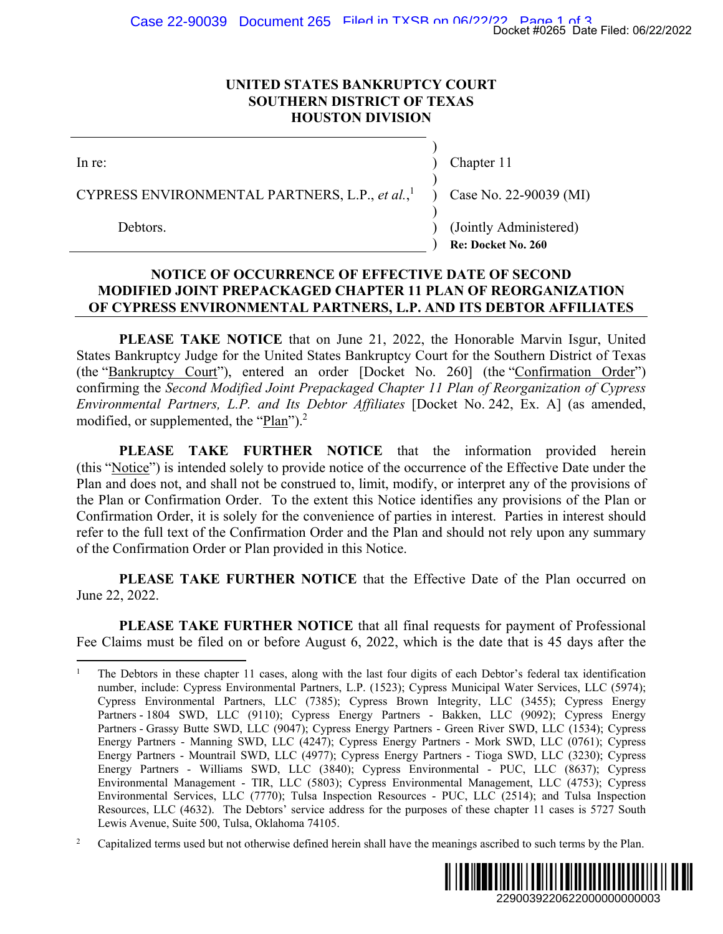## **UNITED STATES BANKRUPTCY COURT SOUTHERN DISTRICT OF TEXAS HOUSTON DIVISION**

| $ln re$ :                                                                            | Chapter 11                                   |
|--------------------------------------------------------------------------------------|----------------------------------------------|
| CYPRESS ENVIRONMENTAL PARTNERS, L.P., et al., $\frac{1}{1}$ ) Case No. 22-90039 (MI) |                                              |
| Debtors.                                                                             | (Jointly Administered)<br>Re: Docket No. 260 |

## **NOTICE OF OCCURRENCE OF EFFECTIVE DATE OF SECOND MODIFIED JOINT PREPACKAGED CHAPTER 11 PLAN OF REORGANIZATION OF CYPRESS ENVIRONMENTAL PARTNERS, L.P. AND ITS DEBTOR AFFILIATES**

**PLEASE TAKE NOTICE** that on June 21, 2022, the Honorable Marvin Isgur, United States Bankruptcy Judge for the United States Bankruptcy Court for the Southern District of Texas (the "Bankruptcy Court"), entered an order [Docket No. 260] (the "Confirmation Order") confirming the *Second Modified Joint Prepackaged Chapter 11 Plan of Reorganization of Cypress Environmental Partners, L.P. and Its Debtor Affiliates* [Docket No. 242, Ex. A] (as amended, modified, or supplemented, the "Plan").<sup>2</sup>

**PLEASE TAKE FURTHER NOTICE** that the information provided herein (this "Notice") is intended solely to provide notice of the occurrence of the Effective Date under the Plan and does not, and shall not be construed to, limit, modify, or interpret any of the provisions of the Plan or Confirmation Order. To the extent this Notice identifies any provisions of the Plan or Confirmation Order, it is solely for the convenience of parties in interest. Parties in interest should refer to the full text of the Confirmation Order and the Plan and should not rely upon any summary of the Confirmation Order or Plan provided in this Notice.

**PLEASE TAKE FURTHER NOTICE** that the Effective Date of the Plan occurred on June 22, 2022.

**PLEASE TAKE FURTHER NOTICE** that all final requests for payment of Professional Fee Claims must be filed on or before August 6, 2022, which is the date that is 45 days after the

 $\overline{a}$ 

<sup>2</sup> Capitalized terms used but not otherwise defined herein shall have the meanings ascribed to such terms by the Plan.



<sup>1</sup> The Debtors in these chapter 11 cases, along with the last four digits of each Debtor's federal tax identification number, include: Cypress Environmental Partners, L.P. (1523); Cypress Municipal Water Services, LLC (5974); Cypress Environmental Partners, LLC (7385); Cypress Brown Integrity, LLC (3455); Cypress Energy Partners - 1804 SWD, LLC (9110); Cypress Energy Partners - Bakken, LLC (9092); Cypress Energy Partners - Grassy Butte SWD, LLC (9047); Cypress Energy Partners - Green River SWD, LLC (1534); Cypress Energy Partners - Manning SWD, LLC (4247); Cypress Energy Partners - Mork SWD, LLC (0761); Cypress Energy Partners - Mountrail SWD, LLC (4977); Cypress Energy Partners - Tioga SWD, LLC (3230); Cypress Energy Partners - Williams SWD, LLC (3840); Cypress Environmental - PUC, LLC (8637); Cypress Environmental Management - TIR, LLC (5803); Cypress Environmental Management, LLC (4753); Cypress Environmental Services, LLC (7770); Tulsa Inspection Resources - PUC, LLC (2514); and Tulsa Inspection Resources, LLC (4632). The Debtors' service address for the purposes of these chapter 11 cases is 5727 South Lewis Avenue, Suite 500, Tulsa, Oklahoma 74105. 2290039220622000000000003 Docket #0265 Date Filed: 06/22/2022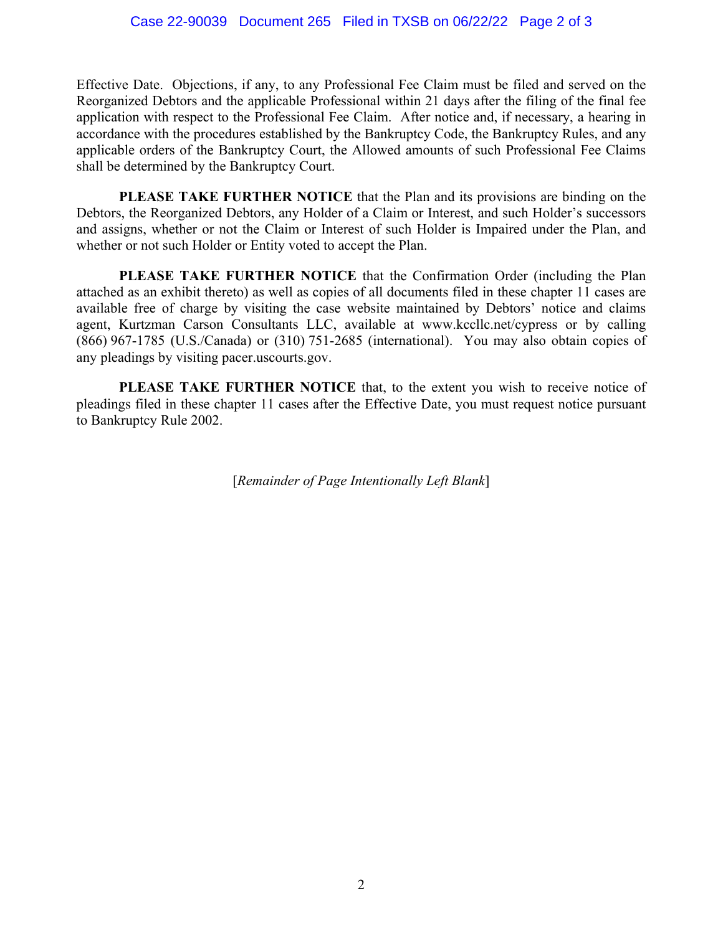Effective Date. Objections, if any, to any Professional Fee Claim must be filed and served on the Reorganized Debtors and the applicable Professional within 21 days after the filing of the final fee application with respect to the Professional Fee Claim. After notice and, if necessary, a hearing in accordance with the procedures established by the Bankruptcy Code, the Bankruptcy Rules, and any applicable orders of the Bankruptcy Court, the Allowed amounts of such Professional Fee Claims shall be determined by the Bankruptcy Court.

**PLEASE TAKE FURTHER NOTICE** that the Plan and its provisions are binding on the Debtors, the Reorganized Debtors, any Holder of a Claim or Interest, and such Holder's successors and assigns, whether or not the Claim or Interest of such Holder is Impaired under the Plan, and whether or not such Holder or Entity voted to accept the Plan.

**PLEASE TAKE FURTHER NOTICE** that the Confirmation Order (including the Plan attached as an exhibit thereto) as well as copies of all documents filed in these chapter 11 cases are available free of charge by visiting the case website maintained by Debtors' notice and claims agent, Kurtzman Carson Consultants LLC, available at www.kccllc.net/cypress or by calling (866) 967-1785 (U.S./Canada) or (310) 751-2685 (international). You may also obtain copies of any pleadings by visiting pacer.uscourts.gov.

**PLEASE TAKE FURTHER NOTICE** that, to the extent you wish to receive notice of pleadings filed in these chapter 11 cases after the Effective Date, you must request notice pursuant to Bankruptcy Rule 2002.

[*Remainder of Page Intentionally Left Blank*]